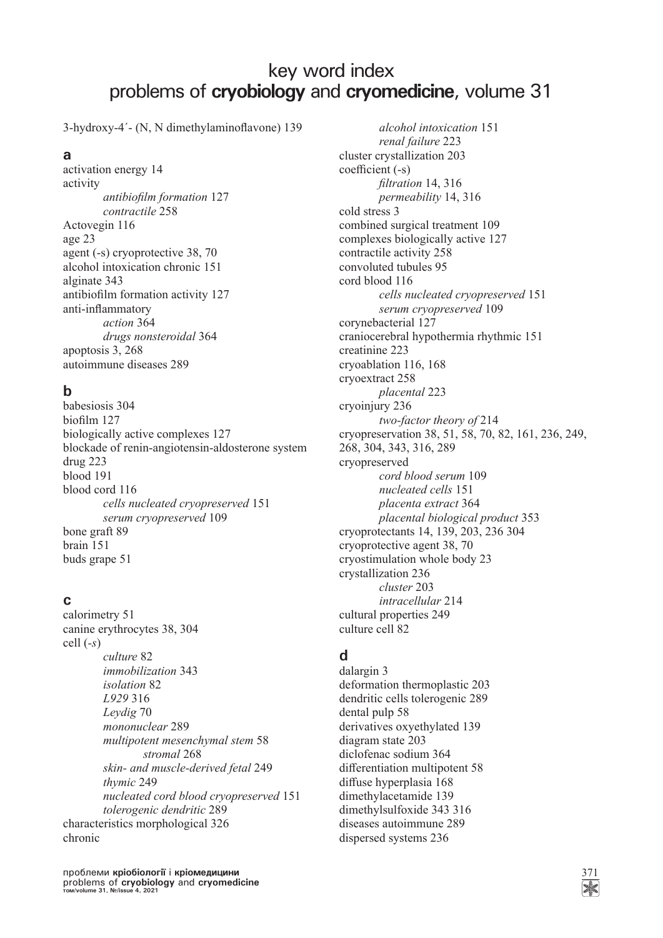# key word index problems of **cryobiology** and **cryomedicine**, volume 31

3-hydroxy-4'- (N, N dimethylaminoflavone) 139

### **a**

activation energy 14 activity *antibiofi lm formation* 127  *contractile* 258 Actovegin 116 age 23 agent (-s) cryoprotective 38, 70 alcohol intoxication chronic 151 alginate 343 antibiofilm formation activity 127 anti-inflammatory  *action* 364 *drugs nonsteroidal* 364 apoptosis 3, 268 autoimmune diseases 289

# **b**

babesiosis 304 biofilm 127 biologically active complexes 127 blockade of renin-angiotensin-aldosterone system drug 223 blood 191 blood cord 116 *cells nucleated cryopreserved* 151 *serum cryopreserved* 109 bone graft 89 brain 151 buds grape 51

### **c**

calorimetry 51 canine erythrocytes 38, 304 cell (*-s*) *culture* 82  *immobilization* 343  *isolation* 82  *L929* 316  *Leydig* 70  *mononuclear* 289  *multipotent mesenchymal stem* 58  *stromal* 268  *skin- and muscle-derived fetal* 249  *thymic* 249  *nucleated cord blood cryopreserved* 151  *tolerogenic dendritic* 289 characteristics morphological 326 chronic

проблеми **кріобіології** і **кріомедицини** 371 problems of **cryobiology** and **cryomedicine том/volume 31, №/issue 4, 2021**

 *alcohol intoxication* 151  *renal failure* 223 cluster crystallization 203 coefficient (-s) *fi ltration* 14, 316  *permeability* 14, 316 cold stress 3 combined surgical treatment 109 complexes biologically active 127 contractile activity 258 convoluted tubules 95 cord blood 116 *cells nucleated cryopreserved* 151  *serum cryopreserved* 109 corynebacterial 127 craniocerebral hypothermia rhythmic 151 creatinine 223 cryoablation 116, 168 cryoextract 258 *placental* 223 cryoinjury 236 *two-factor theory of* 214 cryopreservation 38, 51, 58, 70, 82, 161, 236, 249, 268, 304, 343, 316, 289 cryopreserved *cord blood serum* 109  *nucleated cells* 151  *placenta extract* 364  *placental biological product* 353 cryoprotectants 14, 139, 203, 236 304 cryoprotective agent 38, 70 cryostimulation whole body 23 crystallization 236 *cluster* 203  *intracellular* 214 cultural properties 249 culture cell 82

# **d**

dalargin 3 deformation thermoplastic 203 dendritic cells tolerogenic 289 dental pulp 58 derivatives oxyethylated 139 diagram state 203 diclofenac sodium 364 differentiation multipotent 58 diffuse hyperplasia 168 dimethylacetamide 139 dimethylsulfoxide 343 316 diseases autoimmune 289 dispersed systems 236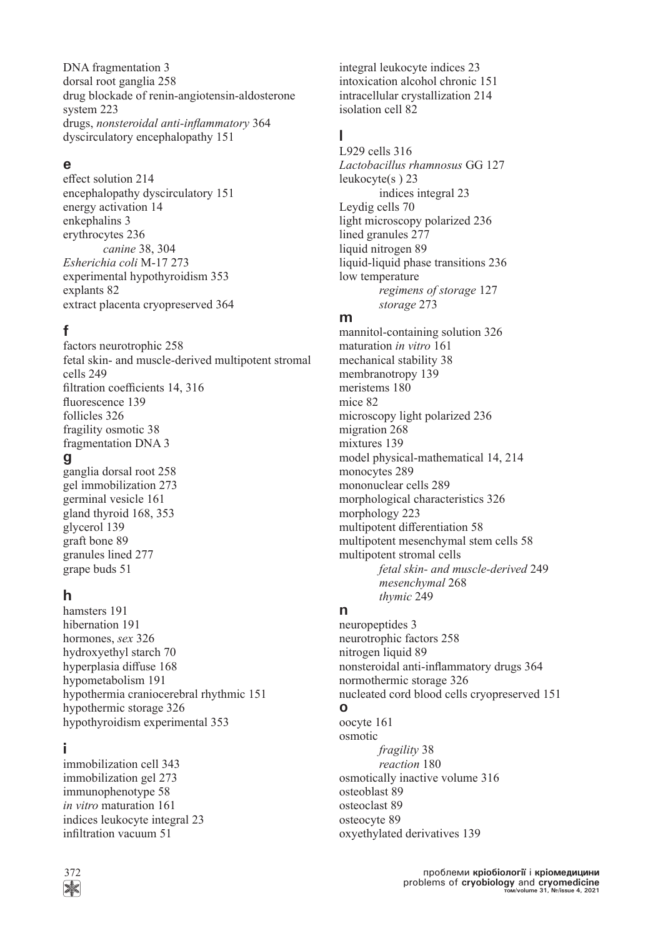DNA fragmentation 3 dorsal root ganglia 258 drug blockade of renin-angiotensin-aldosterone system 223 drugs, *nonsteroidal anti-inflammatory* 364 dyscirculatory encephalopathy 151

#### **e**

effect solution 214 encephalopathy dyscirculatory 151 energy activation 14 enkephalins 3 erythrocytes 236 *canine* 38, 304 *Esherichia coli* M-17 273 experimental hypothyroidism 353 explants 82 extract placenta cryopreserved 364

### **f**

factors neurotrophic 258 fetal skin- and muscle-derived multipotent stromal cells 249 filtration coefficients 14, 316 fluorescence 139 follicles 326 fragility osmotic 38 fragmentation DNA 3

#### **g**

ganglia dorsal root 258 gel immobilization 273 germinal vesicle 161 gland thyroid 168, 353 glycerol 139 graft bone 89 granules lined 277 grape buds 51

#### **h**

hamsters 191 hibernation 191 hormones, *sex* 326 hydroxyethyl starch 70 hyperplasia diffuse 168 hypometabolism 191 hypothermia craniocerebral rhythmic 151 hypothermic storage 326 hypothyroidism experimental 353

#### **i**

immobilization cell 343 immobilization gel 273 immunophenotype 58 *in vitro* maturation 161 indices leukocyte integral 23 infiltration vacuum 51

integral leukocyte indices 23 intoxication alcohol chronic 151 intracellular crystallization 214 isolation cell 82

### **l**

L929 cells 316 *Lactobacillus rhamnosus* GG 127 leukocyte(s ) 23 indices integral 23 Leydig cells 70 light microscopy polarized 236 lined granules 277 liquid nitrogen 89 liquid-liquid phase transitions 236 low temperature *regimens of storage* 127  *storage* 273

#### **m**

mannitol-containing solution 326 maturation *in vitro* 161 mechanical stability 38 membranotropy 139 meristems 180 mice 82 microscopy light polarized 236 migration 268 mixtures 139 model physical-mathematical 14, 214 monocytes 289 mononuclear cells 289 morphological characteristics 326 morphology 223 multipotent differentiation 58 multipotent mesenchymal stem cells 58 multipotent stromal cells *fetal skin- and muscle-derived* 249  *mesenchymal* 268  *thymic* 249

#### **n**

neuropeptides 3 neurotrophic factors 258 nitrogen liquid 89 nonsteroidal anti-inflammatory drugs 364 normothermic storage 326 nucleated cord blood cells cryopreserved 151 **o** oocyte 161

osmotic *fragility* 38  *reaction* 180 osmotically inactive volume 316 osteoblast 89 osteoclast 89 osteocyte 89 oxyethylated derivatives 139